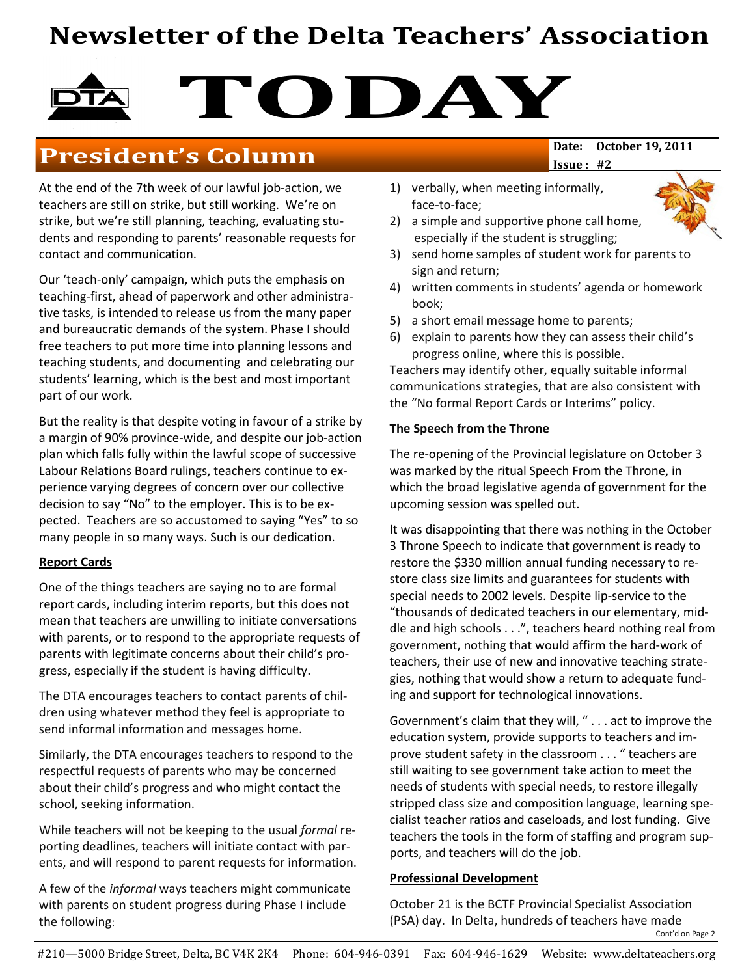# Newsletter of the Delta Teachers' Association

# TODAY

# President's Column Date: October 19, 2011

At the end of the 7th week of our lawful job-action, we teachers are still on strike, but still working. We're on strike, but we're still planning, teaching, evaluating students and responding to parents' reasonable requests for contact and communication.

Our 'teach-only' campaign, which puts the emphasis on teaching-first, ahead of paperwork and other administrative tasks, is intended to release us from the many paper and bureaucratic demands of the system. Phase I should free teachers to put more time into planning lessons and teaching students, and documenting and celebrating our students' learning, which is the best and most important part of our work.

But the reality is that despite voting in favour of a strike by a margin of 90% province-wide, and despite our job-action plan which falls fully within the lawful scope of successive Labour Relations Board rulings, teachers continue to experience varying degrees of concern over our collective decision to say "No" to the employer. This is to be expected. Teachers are so accustomed to saying "Yes" to so many people in so many ways. Such is our dedication.

#### Report Cards

One of the things teachers are saying no to are formal report cards, including interim reports, but this does not mean that teachers are unwilling to initiate conversations with parents, or to respond to the appropriate requests of parents with legitimate concerns about their child's progress, especially if the student is having difficulty.

The DTA encourages teachers to contact parents of children using whatever method they feel is appropriate to send informal information and messages home.

Similarly, the DTA encourages teachers to respond to the respectful requests of parents who may be concerned about their child's progress and who might contact the school, seeking information.

While teachers will not be keeping to the usual formal reporting deadlines, teachers will initiate contact with parents, and will respond to parent requests for information.

A few of the informal ways teachers might communicate with parents on student progress during Phase I include the following:

Issue : #2

- 1) verbally, when meeting informally, face-to-face;
- 2) a simple and supportive phone call home, especially if the student is struggling;
- 3) send home samples of student work for parents to sign and return;
- 4) written comments in students' agenda or homework book;
- 5) a short email message home to parents;
- 6) explain to parents how they can assess their child's progress online, where this is possible.

Teachers may identify other, equally suitable informal communications strategies, that are also consistent with the "No formal Report Cards or Interims" policy.

#### The Speech from the Throne

The re-opening of the Provincial legislature on October 3 was marked by the ritual Speech From the Throne, in which the broad legislative agenda of government for the upcoming session was spelled out.

It was disappointing that there was nothing in the October 3 Throne Speech to indicate that government is ready to restore the \$330 million annual funding necessary to restore class size limits and guarantees for students with special needs to 2002 levels. Despite lip-service to the "thousands of dedicated teachers in our elementary, middle and high schools . . .", teachers heard nothing real from government, nothing that would affirm the hard-work of teachers, their use of new and innovative teaching strategies, nothing that would show a return to adequate funding and support for technological innovations.

Government's claim that they will, " . . . act to improve the education system, provide supports to teachers and improve student safety in the classroom . . . " teachers are still waiting to see government take action to meet the needs of students with special needs, to restore illegally stripped class size and composition language, learning specialist teacher ratios and caseloads, and lost funding. Give teachers the tools in the form of staffing and program supports, and teachers will do the job.

#### Professional Development

October 21 is the BCTF Provincial Specialist Association (PSA) day. In Delta, hundreds of teachers have made Cont'd on Page 2